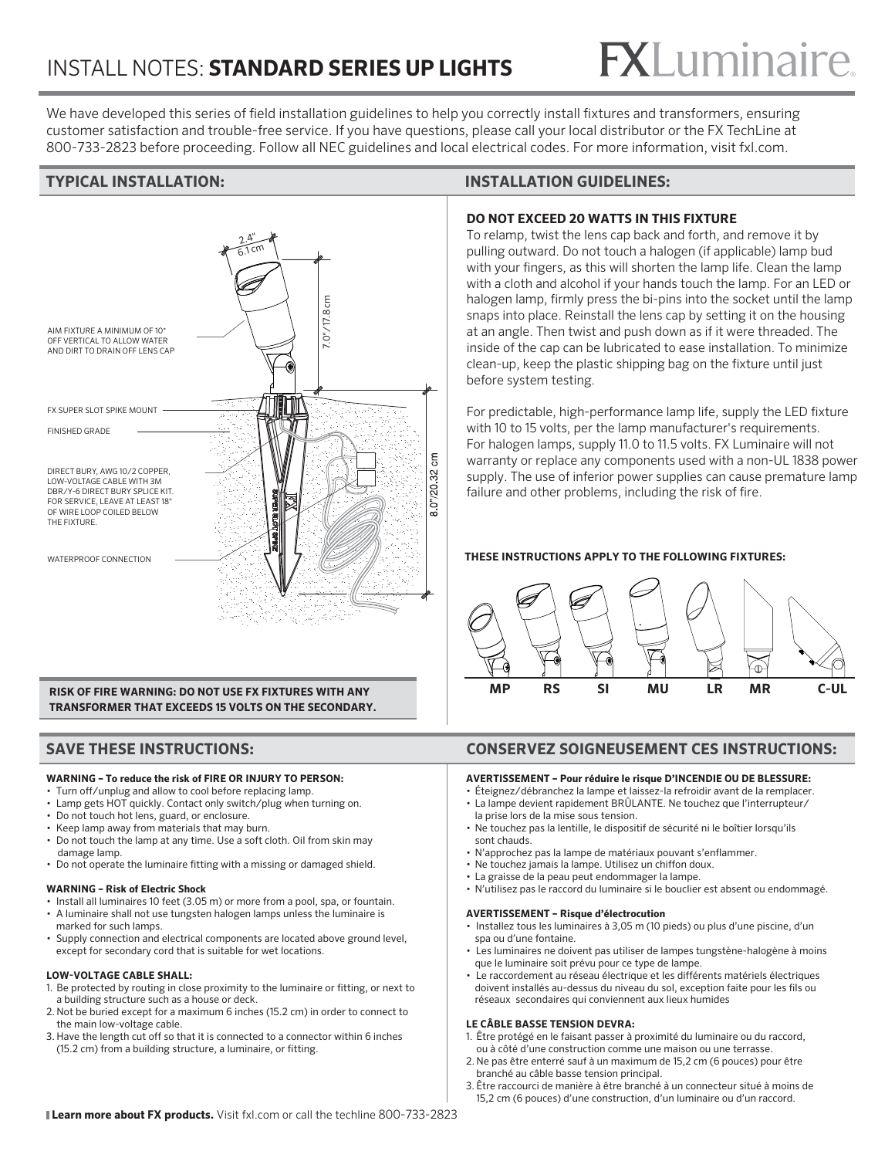## INSTALL NOTES: **STANDARD SERIES UP LIGHTS**

# **FX**Luminaire

We have developed this series of field installation guidelines to help you correctly install fixtures and transformers, ensuring customer satisfaction and trouble-free service. If you have questions, please call your local distributor or the FX TechLine at 800-733-2823 before proceeding. Follow all NEC guidelines and local electrical codes. For more information, visit fxl.com.



**RISK OF FIRE WARNING: DO NOT USE FX FIXTURES WITH ANY TRANSFORMER THAT EXCEEDS 15 VOLTS ON THE SECONDARY.** 

#### **WARNING – To reduce the risk of FIRE OR INJURY TO PERSON:**

- Turn off/unplug and allow to cool before replacing lamp.
- Lamp gets HOT quickly. Contact only switch/plug when turning on.
- Do not touch hot lens, guard, or enclosure. • Keep lamp away from materials that may burn.
- Do not touch the lamp at any time. Use a soft cloth. Oil from skin may
- damage lamp.
- Do not operate the luminaire fitting with a missing or damaged shield.

#### **WARNING – Risk of Electric Shock**

- Install all luminaires 10 feet (3.05 m) or more from a pool, spa, or fountain.
- A luminaire shall not use tungsten halogen lamps unless the luminaire is marked for such lamps.
- Supply connection and electrical components are located above ground level, except for secondary cord that is suitable for wet locations.

#### **LOW-VOLTAGE CABLE SHALL:**

- 1. Be protected by routing in close proximity to the luminaire or fitting, or next to a building structure such as a house or deck.
- 2. Not be buried except for a maximum 6 inches (15.2 cm) in order to connect to the main low-voltage cable.
- 3. Have the length cut off so that it is connected to a connector within 6 inches (15.2 cm) from a building structure, a luminaire, or fitting.

#### **TYPICAL INSTALLATION: INSTALLATION GUIDELINES:**

#### **DO NOT EXCEED 20 WATTS IN THIS FIXTURE**

To relamp, twist the lens cap back and forth, and remove it by pulling outward. Do not touch a halogen (if applicable) lamp bud with your fingers, as this will shorten the lamp life. Clean the lamp with a cloth and alcohol if your hands touch the lamp. For an LED or halogen lamp, firmly press the bi-pins into the socket until the lamp snaps into place. Reinstall the lens cap by setting it on the housing at an angle. Then twist and push down as if it were threaded. The inside of the cap can be lubricated to ease installation. To minimize clean-up, keep the plastic shipping bag on the fixture until just before system testing.

For predictable, high-performance lamp life, supply the LED fixture with 10 to 15 volts, per the lamp manufacturer's requirements. For halogen lamps, supply 11.0 to 11.5 volts. FX Luminaire will not warranty or replace any components used with a non-UL 1838 power supply. The use of inferior power supplies can cause premature lamp failure and other problems, including the risk of fire.

#### **THESE INSTRUCTIONS APPLY TO THE FOLLOWING FIXTURES:**



#### **SAVE THESE INSTRUCTIONS: CONSERVEZ SOIGNEUSEMENT CES INSTRUCTIONS:**

#### **AVERTISSEMENT – Pour réduire le risque D'INCENDIE OU DE BLESSURE:**

- Éteignez/débranchez la lampe et laissez-la refroidir avant de la remplacer. • La lampe devient rapidement BRÛLANTE. Ne touchez que l'interrupteur/
- la prise lors de la mise sous tension. • Ne touchez pas la lentille, le dispositif de sécurité ni le boîtier lorsqu'ils
- sont chauds. • N'approchez pas la lampe de matériaux pouvant s'enflammer.
- Ne touchez jamais la lampe. Utilisez un chiffon doux.
- La graisse de la peau peut endommager la lampe.
- N'utilisez pas le raccord du luminaire si le bouclier est absent ou endommagé.

#### **AVERTISSEMENT – Risque d'électrocution**

- Installez tous les luminaires à 3,05 m (10 pieds) ou plus d'une piscine, d'un spa ou d'une fontaine.
- Les luminaires ne doivent pas utiliser de lampes tungstène-halogène à moins que le luminaire soit prévu pour ce type de lampe.
- Le raccordement au réseau électrique et les différents matériels électriques doivent installés au-dessus du niveau du sol, exception faite pour les fils ou réseaux secondaires qui conviennent aux lieux humides

#### **LE CÂBLE BASSE TENSION DEVRA:**

- 1. Être protégé en le faisant passer à proximité du luminaire ou du raccord, ou à côté d'une construction comme une maison ou une terrasse.
- 2. Ne pas être enterré sauf à un maximum de 15,2 cm (6 pouces) pour être branché au câble basse tension principal.
- 3. Être raccourci de manière à être branché à un connecteur situé à moins de 15,2 cm (6 pouces) d'une construction, d'un luminaire ou d'un raccord.